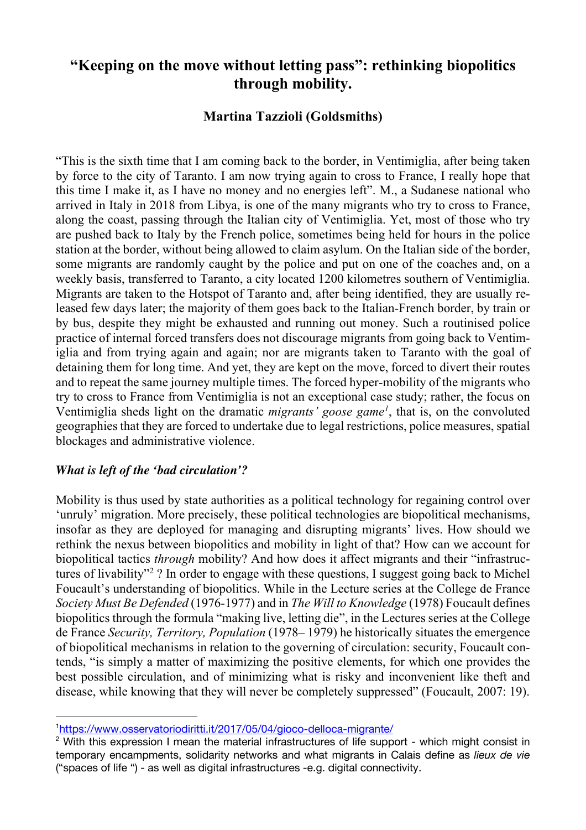# **"Keeping on the move without letting pass": rethinking biopolitics through mobility.**

# **Martina Tazzioli (Goldsmiths)**

"This is the sixth time that I am coming back to the border, in Ventimiglia, after being taken by force to the city of Taranto. I am now trying again to cross to France, I really hope that this time I make it, as I have no money and no energies left". M., a Sudanese national who arrived in Italy in 2018 from Libya, is one of the many migrants who try to cross to France, along the coast, passing through the Italian city of Ventimiglia. Yet, most of those who try are pushed back to Italy by the French police, sometimes being held for hours in the police station at the border, without being allowed to claim asylum. On the Italian side of the border, some migrants are randomly caught by the police and put on one of the coaches and, on a weekly basis, transferred to Taranto, a city located 1200 kilometres southern of Ventimiglia. Migrants are taken to the Hotspot of Taranto and, after being identified, they are usually released few days later; the majority of them goes back to the Italian-French border, by train or by bus, despite they might be exhausted and running out money. Such a routinised police practice of internal forced transfers does not discourage migrants from going back to Ventimiglia and from trying again and again; nor are migrants taken to Taranto with the goal of detaining them for long time. And yet, they are kept on the move, forced to divert their routes and to repeat the same journey multiple times. The forced hyper-mobility of the migrants who try to cross to France from Ventimiglia is not an exceptional case study; rather, the focus on Ventimiglia sheds light on the dramatic *migrants' goose game<sup>1</sup>*, that is, on the convoluted geographies that they are forced to undertake due to legal restrictions, police measures, spatial blockages and administrative violence.

## *What is left of the 'bad circulation'?*

Mobility is thus used by state authorities as a political technology for regaining control over 'unruly' migration. More precisely, these political technologies are biopolitical mechanisms, insofar as they are deployed for managing and disrupting migrants' lives. How should we rethink the nexus between biopolitics and mobility in light of that? How can we account for biopolitical tactics *through* mobility? And how does it affect migrants and their "infrastructures of livability"2 ? In order to engage with these questions, I suggest going back to Michel Foucault's understanding of biopolitics. While in the Lecture series at the College de France *Society Must Be Defended* (1976-1977) and in *The Will to Knowledge* (1978) Foucault defines biopolitics through the formula "making live, letting die", in the Lectures series at the College de France *Security, Territory, Population* (1978– 1979) he historically situates the emergence of biopolitical mechanisms in relation to the governing of circulation: security, Foucault contends, "is simply a matter of maximizing the positive elements, for which one provides the best possible circulation, and of minimizing what is risky and inconvenient like theft and disease, while knowing that they will never be completely suppressed" (Foucault, 2007: 19).

<sup>1</sup> https://www.osservatoriodiritti.it/2017/05/04/gioco-delloca-migrante/

<sup>&</sup>lt;sup>2</sup> With this expression I mean the material infrastructures of life support - which might consist in temporary encampments, solidarity networks and what migrants in Calais define as *lieux de vie* ("spaces of life ") - as well as digital infrastructures -e.g. digital connectivity.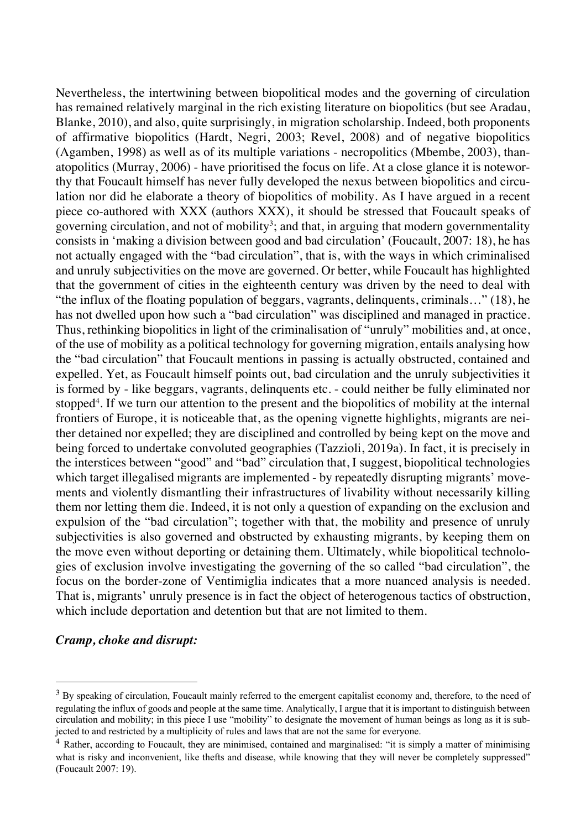Nevertheless, the intertwining between biopolitical modes and the governing of circulation has remained relatively marginal in the rich existing literature on biopolitics (but see Aradau, Blanke, 2010), and also, quite surprisingly, in migration scholarship. Indeed, both proponents of affirmative biopolitics (Hardt, Negri, 2003; Revel, 2008) and of negative biopolitics (Agamben, 1998) as well as of its multiple variations - necropolitics (Mbembe, 2003), thanatopolitics (Murray, 2006) - have prioritised the focus on life. At a close glance it is noteworthy that Foucault himself has never fully developed the nexus between biopolitics and circulation nor did he elaborate a theory of biopolitics of mobility. As I have argued in a recent piece co-authored with XXX (authors XXX), it should be stressed that Foucault speaks of governing circulation, and not of mobility<sup>3</sup>; and that, in arguing that modern governmentality consists in 'making a division between good and bad circulation' (Foucault, 2007: 18), he has not actually engaged with the "bad circulation", that is, with the ways in which criminalised and unruly subjectivities on the move are governed. Or better, while Foucault has highlighted that the government of cities in the eighteenth century was driven by the need to deal with "the influx of the floating population of beggars, vagrants, delinquents, criminals…" (18), he has not dwelled upon how such a "bad circulation" was disciplined and managed in practice. Thus, rethinking biopolitics in light of the criminalisation of "unruly" mobilities and, at once, of the use of mobility as a political technology for governing migration, entails analysing how the "bad circulation" that Foucault mentions in passing is actually obstructed, contained and expelled. Yet, as Foucault himself points out, bad circulation and the unruly subjectivities it is formed by - like beggars, vagrants, delinquents etc. - could neither be fully eliminated nor stopped<sup>4</sup>. If we turn our attention to the present and the biopolitics of mobility at the internal frontiers of Europe, it is noticeable that, as the opening vignette highlights, migrants are neither detained nor expelled; they are disciplined and controlled by being kept on the move and being forced to undertake convoluted geographies (Tazzioli, 2019a). In fact, it is precisely in the interstices between "good" and "bad" circulation that, I suggest, biopolitical technologies which target illegalised migrants are implemented - by repeatedly disrupting migrants' movements and violently dismantling their infrastructures of livability without necessarily killing them nor letting them die. Indeed, it is not only a question of expanding on the exclusion and expulsion of the "bad circulation"; together with that, the mobility and presence of unruly subjectivities is also governed and obstructed by exhausting migrants, by keeping them on the move even without deporting or detaining them. Ultimately, while biopolitical technologies of exclusion involve investigating the governing of the so called "bad circulation", the focus on the border-zone of Ventimiglia indicates that a more nuanced analysis is needed. That is, migrants' unruly presence is in fact the object of heterogenous tactics of obstruction, which include deportation and detention but that are not limited to them.

#### *Cramp, choke and disrupt:*

<sup>&</sup>lt;sup>3</sup> By speaking of circulation, Foucault mainly referred to the emergent capitalist economy and, therefore, to the need of regulating the influx of goods and people at the same time. Analytically, I argue that it is important to distinguish between circulation and mobility; in this piece I use "mobility" to designate the movement of human beings as long as it is subjected to and restricted by a multiplicity of rules and laws that are not the same for everyone.

<sup>&</sup>lt;sup>4</sup> Rather, according to Foucault, they are minimised, contained and marginalised: "it is simply a matter of minimising what is risky and inconvenient, like thefts and disease, while knowing that they will never be completely suppressed" (Foucault 2007: 19).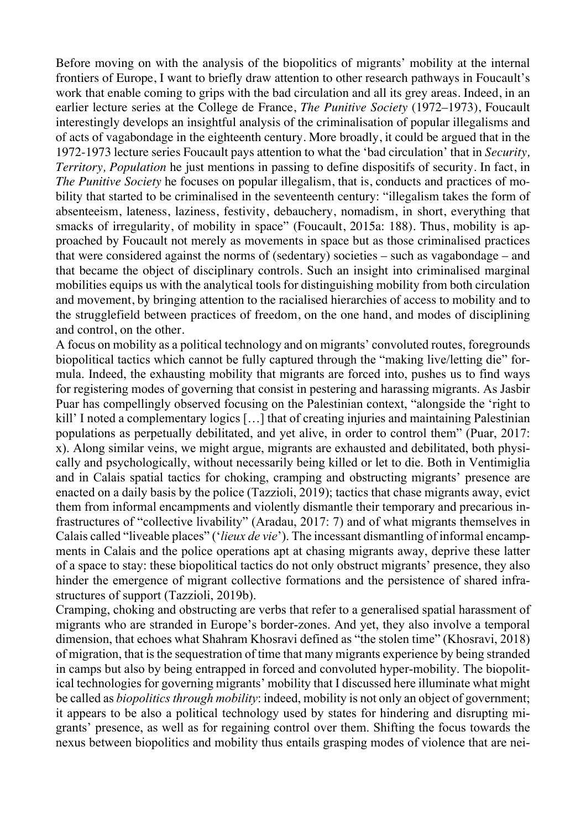Before moving on with the analysis of the biopolitics of migrants' mobility at the internal frontiers of Europe, I want to briefly draw attention to other research pathways in Foucault's work that enable coming to grips with the bad circulation and all its grey areas. Indeed, in an earlier lecture series at the College de France, *The Punitive Society* (1972–1973), Foucault interestingly develops an insightful analysis of the criminalisation of popular illegalisms and of acts of vagabondage in the eighteenth century. More broadly, it could be argued that in the 1972-1973 lecture series Foucault pays attention to what the 'bad circulation' that in *Security, Territory, Population* he just mentions in passing to define dispositifs of security. In fact, in *The Punitive Society* he focuses on popular illegalism, that is, conducts and practices of mobility that started to be criminalised in the seventeenth century: "illegalism takes the form of absenteeism, lateness, laziness, festivity, debauchery, nomadism, in short, everything that smacks of irregularity, of mobility in space" (Foucault, 2015a: 188). Thus, mobility is approached by Foucault not merely as movements in space but as those criminalised practices that were considered against the norms of (sedentary) societies – such as vagabondage – and that became the object of disciplinary controls. Such an insight into criminalised marginal mobilities equips us with the analytical tools for distinguishing mobility from both circulation and movement, by bringing attention to the racialised hierarchies of access to mobility and to the strugglefield between practices of freedom, on the one hand, and modes of disciplining and control, on the other.

A focus on mobility as a political technology and on migrants' convoluted routes, foregrounds biopolitical tactics which cannot be fully captured through the "making live/letting die" formula. Indeed, the exhausting mobility that migrants are forced into, pushes us to find ways for registering modes of governing that consist in pestering and harassing migrants. As Jasbir Puar has compellingly observed focusing on the Palestinian context, "alongside the 'right to kill' I noted a complementary logics [...] that of creating injuries and maintaining Palestinian populations as perpetually debilitated, and yet alive, in order to control them" (Puar, 2017: x). Along similar veins, we might argue, migrants are exhausted and debilitated, both physically and psychologically, without necessarily being killed or let to die. Both in Ventimiglia and in Calais spatial tactics for choking, cramping and obstructing migrants' presence are enacted on a daily basis by the police (Tazzioli, 2019); tactics that chase migrants away, evict them from informal encampments and violently dismantle their temporary and precarious infrastructures of "collective livability" (Aradau, 2017: 7) and of what migrants themselves in Calais called "liveable places" ('*lieux de vie*'). The incessant dismantling of informal encampments in Calais and the police operations apt at chasing migrants away, deprive these latter of a space to stay: these biopolitical tactics do not only obstruct migrants' presence, they also hinder the emergence of migrant collective formations and the persistence of shared infrastructures of support (Tazzioli, 2019b).

Cramping, choking and obstructing are verbs that refer to a generalised spatial harassment of migrants who are stranded in Europe's border-zones. And yet, they also involve a temporal dimension, that echoes what Shahram Khosravi defined as "the stolen time" (Khosravi, 2018) of migration, that isthe sequestration of time that many migrants experience by being stranded in camps but also by being entrapped in forced and convoluted hyper-mobility. The biopolitical technologies for governing migrants' mobility that I discussed here illuminate what might be called as *biopolitics through mobility*: indeed, mobility is not only an object of government; it appears to be also a political technology used by states for hindering and disrupting migrants' presence, as well as for regaining control over them. Shifting the focus towards the nexus between biopolitics and mobility thus entails grasping modes of violence that are nei-